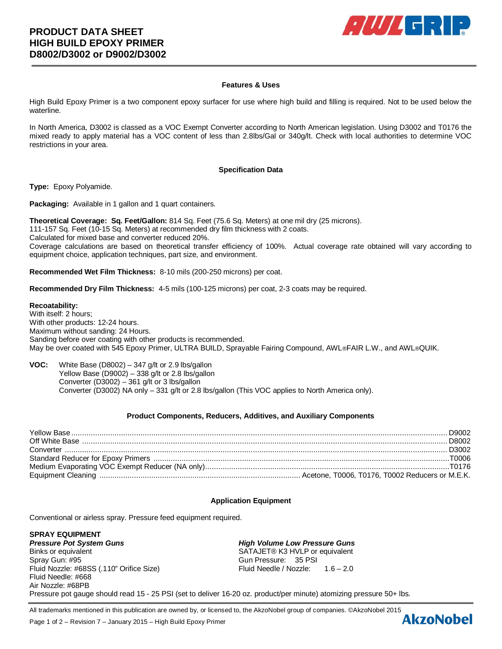

## **Features & Uses**

High Build Epoxy Primer is a two component epoxy surfacer for use where high build and filling is required. Not to be used below the waterline.

In North America, D3002 is classed as a VOC Exempt Converter according to North American legislation. Using D3002 and T0176 the mixed ready to apply material has a VOC content of less than 2.8lbs/Gal or 340g/lt. Check with local authorities to determine VOC restrictions in your area.

#### **Specification Data**

**Type:** Epoxy Polyamide.

**Packaging:** Available in 1 gallon and 1 quart containers.

**Theoretical Coverage: Sq. Feet/Gallon:** 814 Sq. Feet (75.6 Sq. Meters) at one mil dry (25 microns). 111-157 Sq. Feet (10-15 Sq. Meters) at recommended dry film thickness with 2 coats. Calculated for mixed base and converter reduced 20%. Coverage calculations are based on theoretical transfer efficiency of 100%. Actual coverage rate obtained will vary according to equipment choice, application techniques, part size, and environment.

**Recommended Wet Film Thickness:** 8-10 mils (200-250 microns) per coat.

**Recommended Dry Film Thickness:** 4-5 mils (100-125 microns) per coat, 2-3 coats may be required.

### **Recoatability:**

With itself: 2 hours; With other products: 12-24 hours. Maximum without sanding: 24 Hours. Sanding before over coating with other products is recommended. May be over coated with 545 Epoxy Primer, ULTRA BUILD, Sprayable Fairing Compound, AWL®FAIR L.W., and AWL®QUIK.

**VOC:** White Base (D8002) – 347 g/lt or 2.9 lbs/gallon Yellow Base (D9002) – 338 g/lt or 2.8 lbs/gallon Converter (D3002) – 361 g/lt or 3 lbs/gallon Converter (D3002) NA only – 331 g/lt or 2.8 lbs/gallon (This VOC applies to North America only).

### **Product Components, Reducers, Additives, and Auxiliary Components**

# **Application Equipment**

Conventional or airless spray. Pressure feed equipment required.

**SPRAY EQUIPMENT** *Pressure Pot System Guns High Volume Low Pressure Guns* Binks or equivalent SATAJET® K3 HVLP or equivalent Spray Gun: #95 Gun Pressure: 35 PSI Fluid Nozzle: #68SS (.110" Orifice Size) Fluid Needle / Nozzle: 1.6 – 2.0 Fluid Needle: #668 Air Nozzle: #68PB Pressure pot gauge should read 15 - 25 PSI (set to deliver 16-20 oz. product/per minute) atomizing pressure 50+ lbs.

All trademarks mentioned in this publication are owned by, or licensed to, the AkzoNobel group of companies. ©AkzoNobel 2015<br>Page 1 of 2 – Revision 7 – January 2015 – High Build Enoxy Primer

Page 1 of 2 – Revision 7 – January 2015 – High Build Epoxy Primer